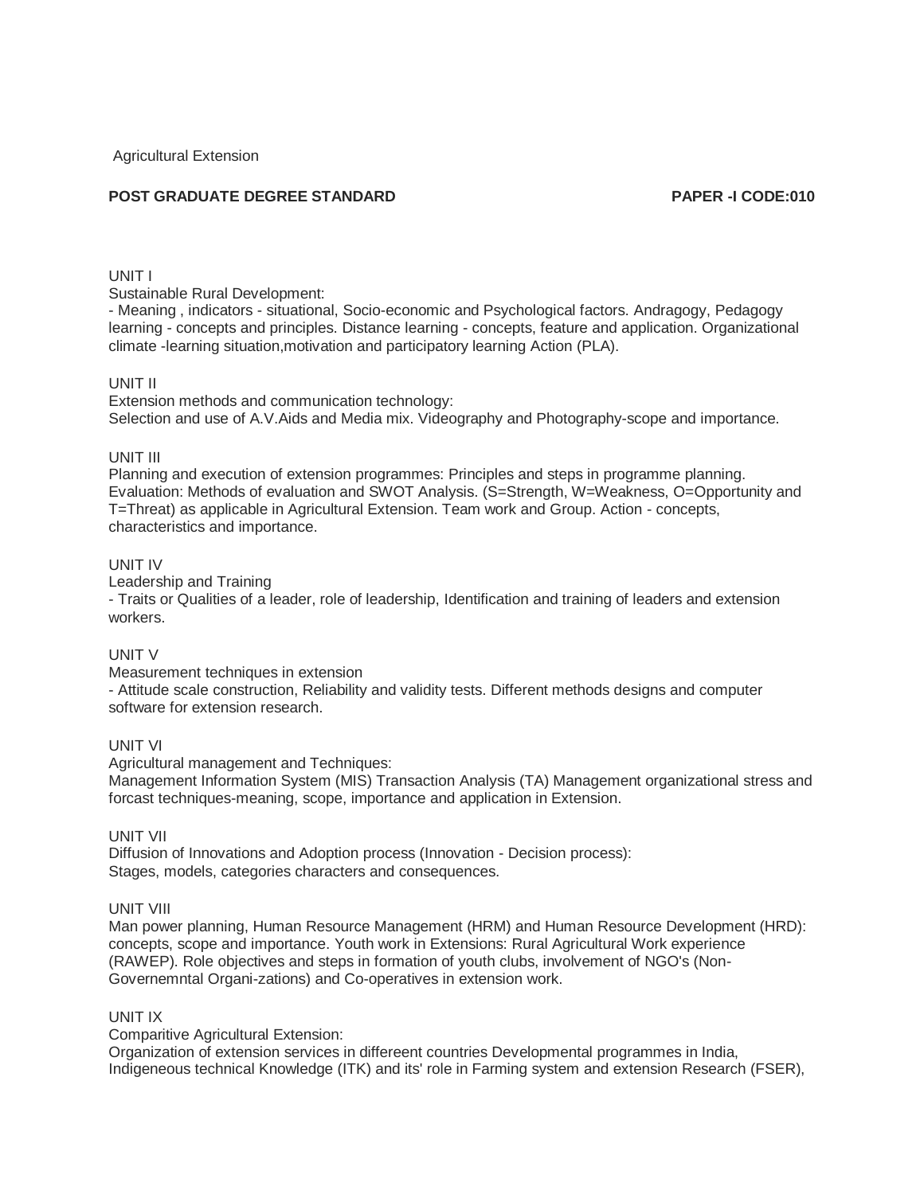Agricultural Extension

# **POST GRADUATE DEGREE STANDARD PAPER -I CODE:010**

# UNIT I

Sustainable Rural Development:

- Meaning , indicators - situational, Socio-economic and Psychological factors. Andragogy, Pedagogy learning - concepts and principles. Distance learning - concepts, feature and application. Organizational climate -learning situation,motivation and participatory learning Action (PLA).

#### UNIT II

Extension methods and communication technology: Selection and use of A.V.Aids and Media mix. Videography and Photography-scope and importance.

## UNIT III

Planning and execution of extension programmes: Principles and steps in programme planning. Evaluation: Methods of evaluation and SWOT Analysis. (S=Strength, W=Weakness, O=Opportunity and T=Threat) as applicable in Agricultural Extension. Team work and Group. Action - concepts, characteristics and importance.

## UNIT IV

Leadership and Training

- Traits or Qualities of a leader, role of leadership, Identification and training of leaders and extension workers.

# UNIT V

Measurement techniques in extension

- Attitude scale construction, Reliability and validity tests. Different methods designs and computer software for extension research.

# UNIT VI

Agricultural management and Techniques:

Management Information System (MIS) Transaction Analysis (TA) Management organizational stress and forcast techniques-meaning, scope, importance and application in Extension.

#### UNIT VII

Diffusion of Innovations and Adoption process (Innovation - Decision process): Stages, models, categories characters and consequences.

#### UNIT VIII

Man power planning, Human Resource Management (HRM) and Human Resource Development (HRD): concepts, scope and importance. Youth work in Extensions: Rural Agricultural Work experience (RAWEP). Role objectives and steps in formation of youth clubs, involvement of NGO's (Non-Governemntal Organi-zations) and Co-operatives in extension work.

#### UNIT IX

Comparitive Agricultural Extension:

Organization of extension services in differeent countries Developmental programmes in India, Indigeneous technical Knowledge (ITK) and its' role in Farming system and extension Research (FSER),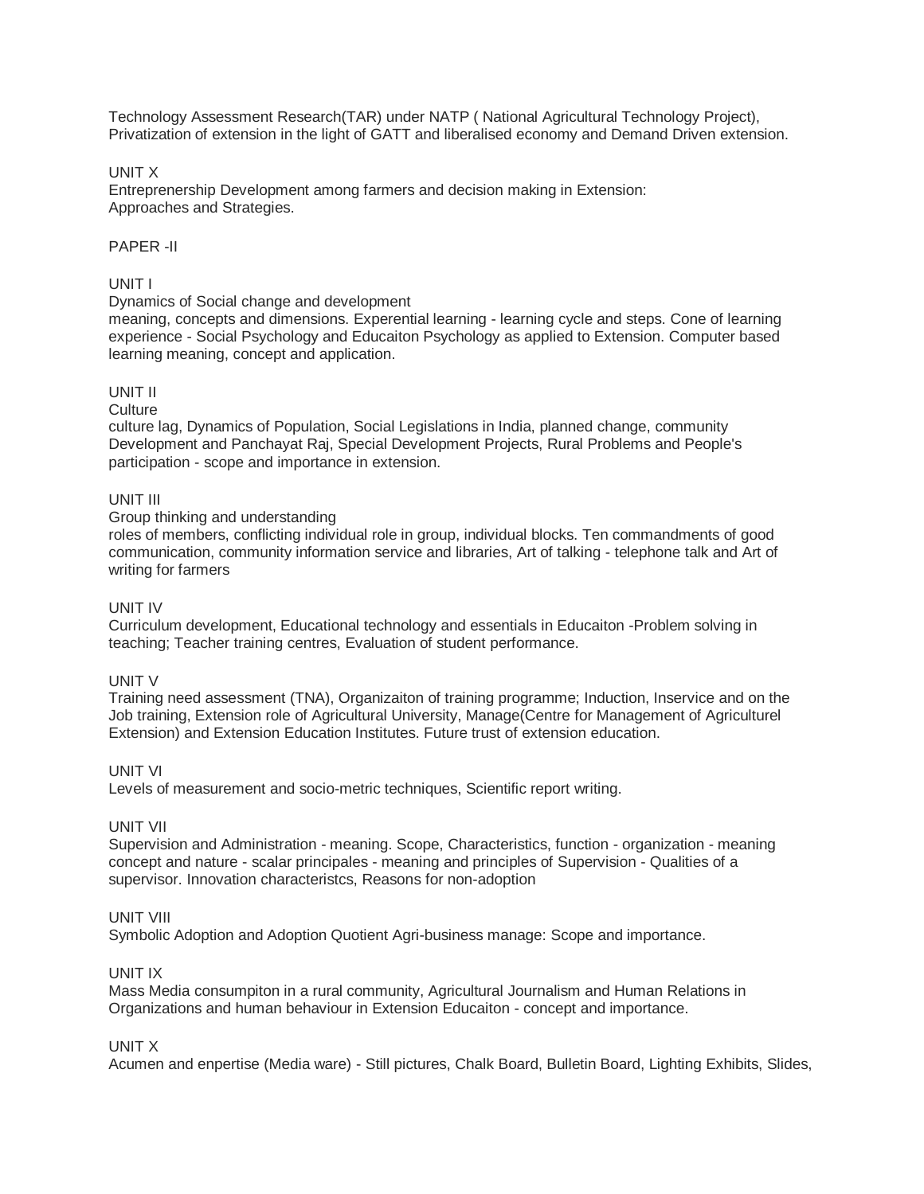Technology Assessment Research(TAR) under NATP ( National Agricultural Technology Project), Privatization of extension in the light of GATT and liberalised economy and Demand Driven extension.

# UNIT X

Entreprenership Development among farmers and decision making in Extension: Approaches and Strategies.

# PAPER -II

# UNIT I

## Dynamics of Social change and development

meaning, concepts and dimensions. Experential learning - learning cycle and steps. Cone of learning experience - Social Psychology and Educaiton Psychology as applied to Extension. Computer based learning meaning, concept and application.

# UNIT II

## **Culture**

culture lag, Dynamics of Population, Social Legislations in India, planned change, community Development and Panchayat Raj, Special Development Projects, Rural Problems and People's participation - scope and importance in extension.

# UNIT III

Group thinking and understanding

roles of members, conflicting individual role in group, individual blocks. Ten commandments of good communication, community information service and libraries, Art of talking - telephone talk and Art of writing for farmers

# UNIT IV

Curriculum development, Educational technology and essentials in Educaiton -Problem solving in teaching; Teacher training centres, Evaluation of student performance.

# UNIT V

Training need assessment (TNA), Organizaiton of training programme; Induction, Inservice and on the Job training, Extension role of Agricultural University, Manage(Centre for Management of Agriculturel Extension) and Extension Education Institutes. Future trust of extension education.

## UNIT VI

Levels of measurement and socio-metric techniques, Scientific report writing.

## UNIT VII

Supervision and Administration - meaning. Scope, Characteristics, function - organization - meaning concept and nature - scalar principales - meaning and principles of Supervision - Qualities of a supervisor. Innovation characteristcs, Reasons for non-adoption

## UNIT VIII

Symbolic Adoption and Adoption Quotient Agri-business manage: Scope and importance.

# UNIT IX

Mass Media consumpiton in a rural community, Agricultural Journalism and Human Relations in Organizations and human behaviour in Extension Educaiton - concept and importance.

# UNIT X

Acumen and enpertise (Media ware) - Still pictures, Chalk Board, Bulletin Board, Lighting Exhibits, Slides,